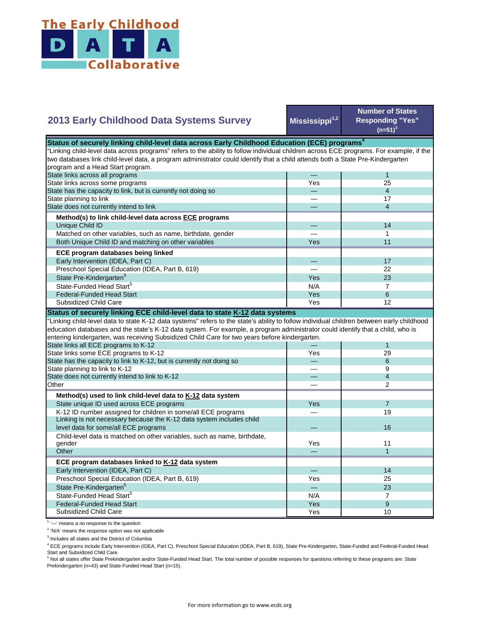

|  | 2013 Early Childhood Data Systems Survey |  |  |
|--|------------------------------------------|--|--|
|  |                                          |  |  |

**Mississippi1,2**

**Number of States Responding "Yes"**   $(n=51)^3$ 

| Status of securely linking child-level data across Early Childhood Education (ECE) programs <sup>4</sup>                                  |     |                          |  |  |  |  |
|-------------------------------------------------------------------------------------------------------------------------------------------|-----|--------------------------|--|--|--|--|
| "Linking child-level data across programs" refers to the ability to follow individual children across ECE programs. For example, if the   |     |                          |  |  |  |  |
| two databases link child-level data, a program administrator could identify that a child attends both a State Pre-Kindergarten            |     |                          |  |  |  |  |
| program and a Head Start program.                                                                                                         |     |                          |  |  |  |  |
| State links across all programs                                                                                                           |     | $\mathbf{1}$             |  |  |  |  |
| State links across some programs                                                                                                          | Yes | 25                       |  |  |  |  |
| State has the capacity to link, but is currently not doing so                                                                             |     | $\overline{4}$           |  |  |  |  |
| State planning to link                                                                                                                    |     | 17                       |  |  |  |  |
| State does not currently intend to link                                                                                                   |     | $\overline{4}$           |  |  |  |  |
| Method(s) to link child-level data across ECE programs                                                                                    |     |                          |  |  |  |  |
| Unique Child ID                                                                                                                           |     | 14                       |  |  |  |  |
| Matched on other variables, such as name, birthdate, gender                                                                               |     | 1                        |  |  |  |  |
| Both Unique Child ID and matching on other variables                                                                                      | Yes | 11                       |  |  |  |  |
| ECE program databases being linked                                                                                                        |     |                          |  |  |  |  |
| Early Intervention (IDEA, Part C)                                                                                                         |     | 17                       |  |  |  |  |
| Preschool Special Education (IDEA, Part B, 619)                                                                                           |     | 22                       |  |  |  |  |
| State Pre-Kindergarten <sup>5</sup>                                                                                                       | Yes | 23                       |  |  |  |  |
| State-Funded Head Start <sup>5</sup>                                                                                                      | N/A | $\overline{7}$           |  |  |  |  |
| <b>Federal-Funded Head Start</b>                                                                                                          | Yes | 6                        |  |  |  |  |
| Subsidized Child Care                                                                                                                     | Yes | 12                       |  |  |  |  |
| Status of securely linking ECE child-level data to state K-12 data systems                                                                |     |                          |  |  |  |  |
| "Linking child-level data to state K-12 data systems" refers to the state's ability to follow individual children between early childhood |     |                          |  |  |  |  |
| education databases and the state's K-12 data system. For example, a program administrator could identify that a child, who is            |     |                          |  |  |  |  |
| entering kindergarten, was receiving Subsidized Child Care for two years before kindergarten.                                             |     |                          |  |  |  |  |
| State links all ECE programs to K-12                                                                                                      |     | $\mathbf{1}$             |  |  |  |  |
| State links some ECE programs to K-12                                                                                                     | Yes | 29                       |  |  |  |  |
| State has the capacity to link to K-12, but is currently not doing so                                                                     |     | 6                        |  |  |  |  |
| State planning to link to K-12                                                                                                            |     | 9                        |  |  |  |  |
| State does not currently intend to link to K-12                                                                                           |     | $\overline{\mathcal{L}}$ |  |  |  |  |
| Other                                                                                                                                     |     | $\overline{2}$           |  |  |  |  |
| Method(s) used to link child-level data to K-12 data system                                                                               |     |                          |  |  |  |  |
| State unique ID used across ECE programs                                                                                                  | Yes | $\overline{7}$           |  |  |  |  |
| K-12 ID number assigned for children in some/all ECE programs                                                                             |     | 19                       |  |  |  |  |
| Linking is not necessary because the K-12 data system includes child                                                                      |     |                          |  |  |  |  |
| level data for some/all ECE programs                                                                                                      |     | 16                       |  |  |  |  |
| Child-level data is matched on other variables, such as name, birthdate,                                                                  |     |                          |  |  |  |  |
| gender                                                                                                                                    | Yes | 11                       |  |  |  |  |
| Other                                                                                                                                     |     | $\mathbf{1}$             |  |  |  |  |
| ECE program databases linked to K-12 data system                                                                                          |     |                          |  |  |  |  |
| Early Intervention (IDEA, Part C)                                                                                                         |     | 14                       |  |  |  |  |
| Preschool Special Education (IDEA, Part B, 619)                                                                                           | Yes | 25                       |  |  |  |  |
| State Pre-Kindergarten <sup>5</sup>                                                                                                       |     | 23                       |  |  |  |  |
| State-Funded Head Start <sup>5</sup>                                                                                                      | N/A | $\overline{7}$           |  |  |  |  |
| <b>Federal-Funded Head Start</b>                                                                                                          | Yes | 9                        |  |  |  |  |
| Subsidized Child Care                                                                                                                     | Yes | 10                       |  |  |  |  |

<sup>1</sup> '-' means a no response to the question

<sup>2</sup> 'N/A' means the response option was not applicable

<sup>3</sup> Includes all states and the District of Columbia

<sup>4</sup> ECE programs include Early Intervention (IDEA, Part C), Preschool Special Education (IDEA, Part B, 619), State Pre-Kindergarten, State-Funded and Federal-Funded Head

Start and Subsidized Child Care.<br><sup>5</sup> Not all states offer State Prekindergarten and/or State-Funded Head Start. The total number of possible responses for questions referring to these programs are: State Prekindergarten (n=43) and State-Funded Head Start (n=15).